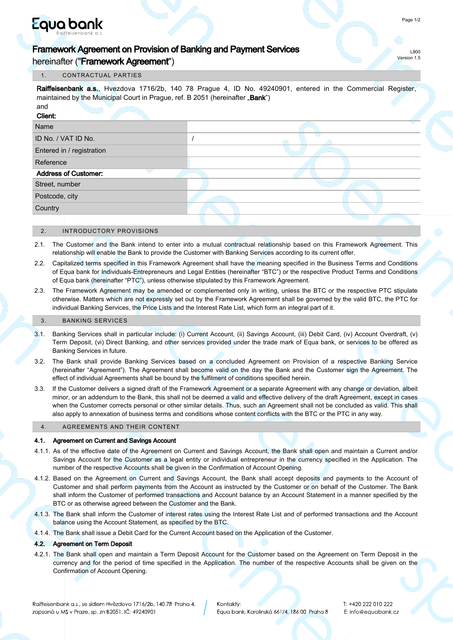# Equa bank

hereinafter ("Framework Agreement")

## 1. CONTRACTUAL PARTIES

Raiffeisenbank a.s., Hvezdova 1716/2b, 140 78 Prague 4, ID No. 49240901, entered in the Commercial Register. maintained by the Municipal Court in Prague, ref. B 2051 (hereinafter .. Bank")

| and<br>Client:              |  |
|-----------------------------|--|
| Name                        |  |
| ID No. / VAT ID No.         |  |
| Entered in / registration   |  |
| Reference                   |  |
| <b>Address of Customer:</b> |  |
| Street, number              |  |
| Postcode, city              |  |
| Country                     |  |
|                             |  |

#### 2. INTRODUCTORY PROVISIONS

- 2.1. The Customer and the Bank intend to enter into a mutual contractual relationship based on this Framework Agreement. This relationship will enable the Bank to provide the Customer with Banking Services according to its current offer.
- 2.2. Capitalized terms specified in this Framework Agreement shall have the meaning specified in the Business Terms and Conditions of Equa bank for Individuals-Entrepreneurs and Legal Entities (hereinafter "BTC") or the respective Product Terms and Conditions of Equa bank (hereinafter "PTC"), unless otherwise stipulated by this Framework Agreement.
- 2.3. The Framework Agreement may be amended or complemented only in writing, unless the BTC or the respective PTC stipulate otherwise. Matters which are not expressly set out by the Framework Agreement shall be governed by the valid BTC, the PTC for individual Banking Services, the Price Lists and the Interest Rate List, which form an integral part of it.

#### 3. BANKING SERVICES

- 3.1. Banking Services shall in particular include: (i) Current Account, (ii) Savings Account, (iii) Debit Card, (iv) Account Overdraft, (v) Term Deposit, (vi) Direct Banking, and other services provided under the trade mark of Equa bank, or services to be offered as Banking Services in future.
- 3.2. The Bank shall provide Banking Services based on a concluded Agreement on Provision of a respective Banking Service (hereinafter "Agreement"). The Agreement shall become valid on the day the Bank and the Customer sign the Agreement. The effect of individual Agreements shall be bound by the fulfilment of conditions specified herein.
- 3.3. If the Customer delivers a signed draft of the Framework Agreement or a separate Agreement with any change or deviation, albeit minor, or an addendum to the Bank, this shall not be deemed a valid and effective delivery of the draft Agreement, except in cases when the Customer corrects personal or other similar details. Thus, such an Agreement shall not be concluded as valid. This shall also apply to annexation of business terms and conditions whose content conflicts with the BTC or the PTC in any way.

# 4. AGREEMENTS AND THEIR CONTENT

## 4.1. Agreement on Current and Savings Account

- 4.1.1. As of the effective date of the Agreement on Current and Savings Account, the Bank shall open and maintain a Current and/or Savings Account for the Customer as a legal entity or individual entrepreneur in the currency specified in the Application. The number of the respective Accounts shall be given in the Confirmation of Account Opening.
- 4.1.2. Based on the Agreement on Current and Savings Account, the Bank shall accept deposits and payments to the Account of Customer and shall perform payments from the Account as instructed by the Customer or on behalf of the Customer. The Bank shall inform the Customer of performed transactions and Account balance by an Account Statement in a manner specified by the BTC or as otherwise agreed between the Customer and the Bank.
- 4.1.3. The Bank shall inform the Customer of interest rates using the Interest Rate List and of performed transactions and the Account balance using the Account Statement, as specified by the BTC.
- 4.1.4. The Bank shall issue a Debit Card for the Current Account based on the Application of the Customer.

#### 4.2. Agreement on Term Deposit

4.2.1. The Bank shall open and maintain a Term Deposit Account for the Customer based on the Agreement on Term Deposit in the currency and for the period of time specified in the Application. The number of the respective Accounts shall be given on the Confirmation of Account Opening.

L800 Version 1.5

Kontakty: Equa bank, Karolinská 661/4, 18600 Praha 8 T: +420 222 010 222 E: info@equabank.cz